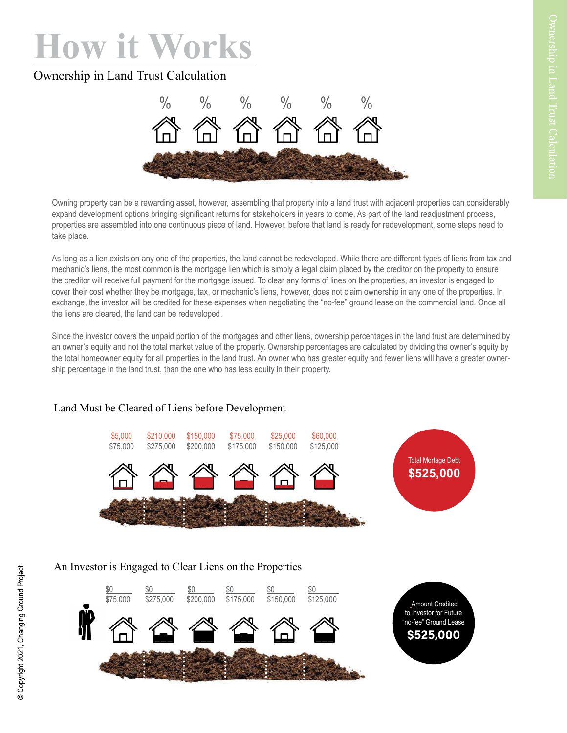# How it Works

# Ownership in Land Trust Calculation



Owning property can be a rewarding asset, however, assembling that property into a land trust with adjacent properties can considerably expand development options bringing significant returns for stakeholders in years to come. As part of the land readjustment process, properties are assembled into one continuous piece of land. However, before that land is ready for redevelopment, some steps need to take place.

As long as a lien exists on any one of the properties, the land cannot be redeveloped. While there are different types of liens from tax and mechanic's liens, the most common is the mortgage lien which is simply a legal claim placed by the creditor on the property to ensure the creditor will receive full payment for the mortgage issued. To clear any forms of lines on the properties, an investor is engaged to cover their cost whether they be mortgage, tax, or mechanic's liens, however, does not claim ownership in any one of the properties. In exchange, the investor will be credited for these expenses when negotiating the "no-fee" ground lease on the commercial land. Once all the liens are cleared, the land can be redeveloped.

Since the investor covers the unpaid portion of the mortgages and other liens, ownership percentages in the land trust are determined by an owner's equity and not the total market value of the property. Ownership percentages are calculated by dividing the owner's equity by the total homeowner equity for all properties in the land trust. An owner who has greater equity and fewer liens will have a greater ownership percentage in the land trust, than the one who has less equity in their property.

## Land Must be Cleared of Liens before Development



#### An Investor is Engaged to Clear Liens on the Properties